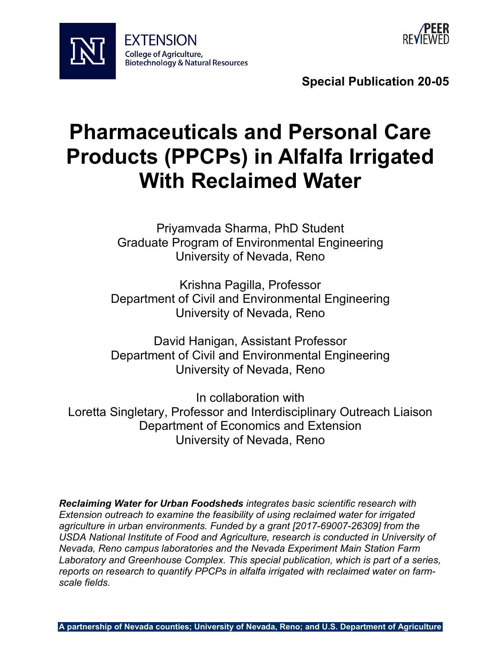



**Special Publication 20-05**

# **Pharmaceuticals and Personal Care Products (PPCPs) in Alfalfa Irrigated With Reclaimed Water**

Priyamvada Sharma, PhD Student Graduate Program of Environmental Engineering University of Nevada, Reno

Krishna Pagilla, Professor Department of Civil and Environmental Engineering University of Nevada, Reno

David Hanigan, Assistant Professor Department of Civil and Environmental Engineering University of Nevada, Reno

In collaboration with Loretta Singletary, Professor and Interdisciplinary Outreach Liaison Department of Economics and Extension University of Nevada, Reno

*Reclaiming Water for Urban Foodsheds integrates basic scientific research with Extension outreach to examine the feasibility of using reclaimed water for irrigated agriculture in urban environments. Funded by a grant [2017-69007-26309] from the USDA National Institute of Food and Agriculture, research is conducted in University of Nevada, Reno campus laboratories and the Nevada Experiment Main Station Farm Laboratory and Greenhouse Complex. This special publication, which is part of a series, reports on research to quantify PPCPs in alfalfa irrigated with reclaimed water on farmscale fields.*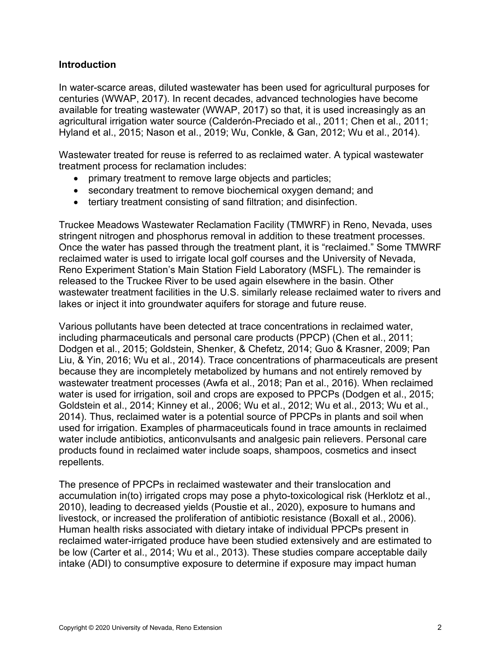#### **Introduction**

In water-scarce areas, diluted wastewater has been used for agricultural purposes for centuries (WWAP, 2017). In recent decades, advanced technologies have become available for treating wastewater (WWAP, 2017) so that, it is used increasingly as an agricultural irrigation water source (Calderón-Preciado et al., 2011; Chen et al., 2011; Hyland et al., 2015; Nason et al., 2019; Wu, Conkle, & Gan, 2012; Wu et al., 2014).

Wastewater treated for reuse is referred to as reclaimed water. A typical wastewater treatment process for reclamation includes:

- primary treatment to remove large objects and particles;
- secondary treatment to remove biochemical oxygen demand; and
- tertiary treatment consisting of sand filtration; and disinfection.

Truckee Meadows Wastewater Reclamation Facility (TMWRF) in Reno, Nevada, uses stringent nitrogen and phosphorus removal in addition to these treatment processes. Once the water has passed through the treatment plant, it is "reclaimed." Some TMWRF reclaimed water is used to irrigate local golf courses and the University of Nevada, Reno Experiment Station's Main Station Field Laboratory (MSFL). The remainder is released to the Truckee River to be used again elsewhere in the basin. Other wastewater treatment facilities in the U.S. similarly release reclaimed water to rivers and lakes or inject it into groundwater aquifers for storage and future reuse.

Various pollutants have been detected at trace concentrations in reclaimed water, including pharmaceuticals and personal care products (PPCP) (Chen et al., 2011; Dodgen et al., 2015; Goldstein, Shenker, & Chefetz, 2014; Guo & Krasner, 2009; Pan Liu, & Yin, 2016; Wu et al., 2014). Trace concentrations of pharmaceuticals are present because they are incompletely metabolized by humans and not entirely removed by wastewater treatment processes (Awfa et al., 2018; Pan et al., 2016). When reclaimed water is used for irrigation, soil and crops are exposed to PPCPs (Dodgen et al., 2015; Goldstein et al., 2014; Kinney et al., 2006; Wu et al., 2012; Wu et al., 2013; Wu et al., 2014). Thus, reclaimed water is a potential source of PPCPs in plants and soil when used for irrigation. Examples of pharmaceuticals found in trace amounts in reclaimed water include antibiotics, anticonvulsants and analgesic pain relievers. Personal care products found in reclaimed water include soaps, shampoos, cosmetics and insect repellents.

The presence of PPCPs in reclaimed wastewater and their translocation and accumulation in(to) irrigated crops may pose a phyto-toxicological risk (Herklotz et al., 2010), leading to decreased yields (Poustie et al., 2020), exposure to humans and livestock, or increased the proliferation of antibiotic resistance (Boxall et al., 2006). Human health risks associated with dietary intake of individual PPCPs present in reclaimed water-irrigated produce have been studied extensively and are estimated to be low (Carter et al., 2014; Wu et al., 2013). These studies compare acceptable daily intake (ADI) to consumptive exposure to determine if exposure may impact human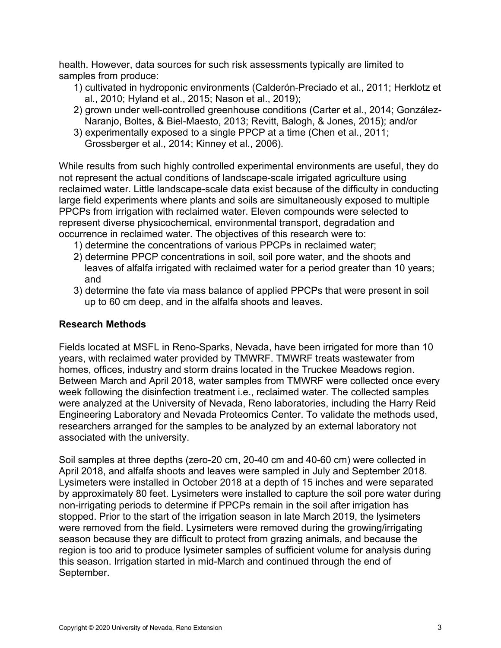health. However, data sources for such risk assessments typically are limited to samples from produce:

- 1) cultivated in hydroponic environments (Calderón-Preciado et al., 2011; Herklotz et al., 2010; Hyland et al., 2015; Nason et al., 2019);
- 2) grown under well-controlled greenhouse conditions (Carter et al., 2014; González-Naranjo, Boltes, & Biel-Maesto, 2013; Revitt, Balogh, & Jones, 2015); and/or
- 3) experimentally exposed to a single PPCP at a time (Chen et al., 2011; Grossberger et al., 2014; Kinney et al., 2006).

While results from such highly controlled experimental environments are useful, they do not represent the actual conditions of landscape-scale irrigated agriculture using reclaimed water. Little landscape-scale data exist because of the difficulty in conducting large field experiments where plants and soils are simultaneously exposed to multiple PPCPs from irrigation with reclaimed water. Eleven compounds were selected to represent diverse physicochemical, environmental transport, degradation and occurrence in reclaimed water. The objectives of this research were to:

- 1) determine the concentrations of various PPCPs in reclaimed water;
- 2) determine PPCP concentrations in soil, soil pore water, and the shoots and leaves of alfalfa irrigated with reclaimed water for a period greater than 10 years; and
- 3) determine the fate via mass balance of applied PPCPs that were present in soil up to 60 cm deep, and in the alfalfa shoots and leaves.

#### **Research Methods**

Fields located at MSFL in Reno-Sparks, Nevada, have been irrigated for more than 10 years, with reclaimed water provided by TMWRF. TMWRF treats wastewater from homes, offices, industry and storm drains located in the Truckee Meadows region. Between March and April 2018, water samples from TMWRF were collected once every week following the disinfection treatment i.e., reclaimed water. The collected samples were analyzed at the University of Nevada, Reno laboratories, including the Harry Reid Engineering Laboratory and Nevada Proteomics Center. To validate the methods used, researchers arranged for the samples to be analyzed by an external laboratory not associated with the university.

Soil samples at three depths (zero-20 cm, 20-40 cm and 40-60 cm) were collected in April 2018, and alfalfa shoots and leaves were sampled in July and September 2018. Lysimeters were installed in October 2018 at a depth of 15 inches and were separated by approximately 80 feet. Lysimeters were installed to capture the soil pore water during non-irrigating periods to determine if PPCPs remain in the soil after irrigation has stopped. Prior to the start of the irrigation season in late March 2019, the lysimeters were removed from the field. Lysimeters were removed during the growing/irrigating season because they are difficult to protect from grazing animals, and because the region is too arid to produce lysimeter samples of sufficient volume for analysis during this season. Irrigation started in mid-March and continued through the end of September.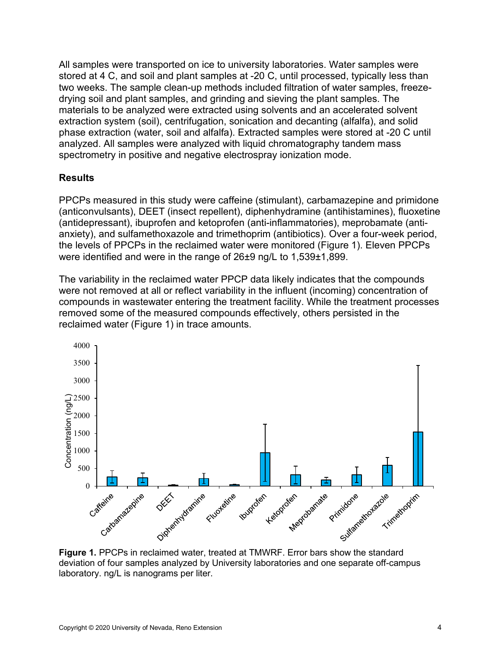All samples were transported on ice to university laboratories. Water samples were stored at 4 C, and soil and plant samples at -20 C, until processed, typically less than two weeks. The sample clean-up methods included filtration of water samples, freezedrying soil and plant samples, and grinding and sieving the plant samples. The materials to be analyzed were extracted using solvents and an accelerated solvent extraction system (soil), centrifugation, sonication and decanting (alfalfa), and solid phase extraction (water, soil and alfalfa). Extracted samples were stored at -20 C until analyzed. All samples were analyzed with liquid chromatography tandem mass spectrometry in positive and negative electrospray ionization mode.

## **Results**

PPCPs measured in this study were caffeine (stimulant), carbamazepine and primidone (anticonvulsants), DEET (insect repellent), diphenhydramine (antihistamines), fluoxetine (antidepressant), ibuprofen and ketoprofen (anti-inflammatories), meprobamate (antianxiety), and sulfamethoxazole and trimethoprim (antibiotics). Over a four-week period, the levels of PPCPs in the reclaimed water were monitored (Figure 1). Eleven PPCPs were identified and were in the range of 26±9 ng/L to 1,539±1,899.

The variability in the reclaimed water PPCP data likely indicates that the compounds were not removed at all or reflect variability in the influent (incoming) concentration of compounds in wastewater entering the treatment facility. While the treatment processes removed some of the measured compounds effectively, others persisted in the reclaimed water (Figure 1) in trace amounts.



deviation of four samples analyzed by University laboratories and one separate off-campus laboratory. ng/L is nanograms per liter.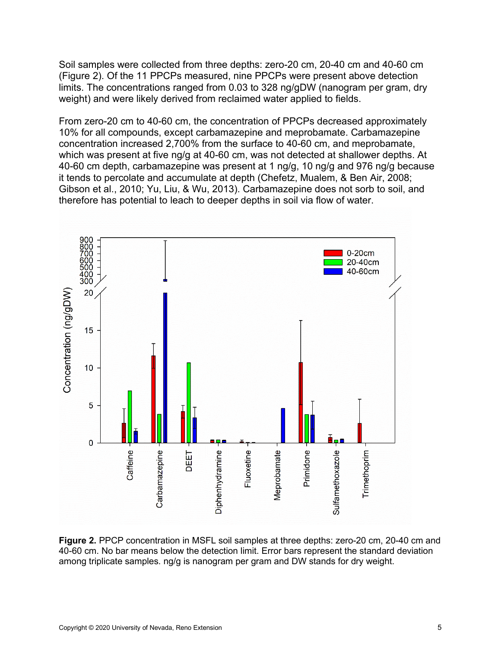Soil samples were collected from three depths: zero-20 cm, 20-40 cm and 40-60 cm (Figure 2). Of the 11 PPCPs measured, nine PPCPs were present above detection limits. The concentrations ranged from 0.03 to 328 ng/gDW (nanogram per gram, dry weight) and were likely derived from reclaimed water applied to fields.

From zero-20 cm to 40-60 cm, the concentration of PPCPs decreased approximately 10% for all compounds, except carbamazepine and meprobamate. Carbamazepine concentration increased 2,700% from the surface to 40-60 cm, and meprobamate, which was present at five ng/g at 40-60 cm, was not detected at shallower depths. At 40-60 cm depth, carbamazepine was present at 1 ng/g, 10 ng/g and 976 ng/g because it tends to percolate and accumulate at depth (Chefetz, Mualem, & Ben Air, 2008; Gibson et al., 2010; Yu, Liu, & Wu, 2013). Carbamazepine does not sorb to soil, and therefore has potential to leach to deeper depths in soil via flow of water.



**Figure 2.** PPCP concentration in MSFL soil samples at three depths: zero-20 cm, 20-40 cm and 40-60 cm. No bar means below the detection limit. Error bars represent the standard deviation among triplicate samples. ng/g is nanogram per gram and DW stands for dry weight.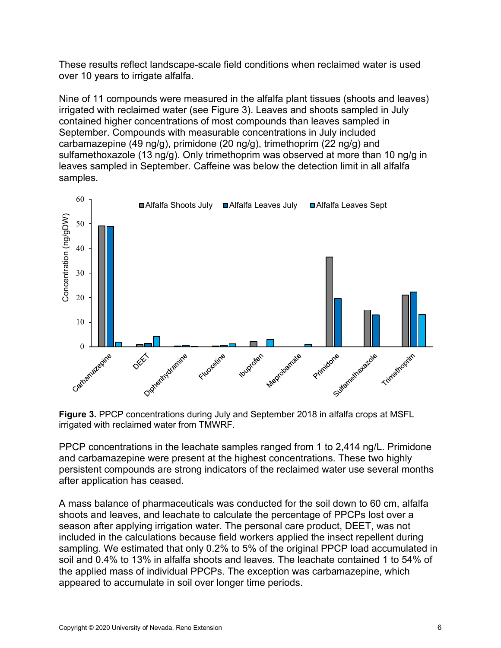These results reflect landscape-scale field conditions when reclaimed water is used over 10 years to irrigate alfalfa.

Nine of 11 compounds were measured in the alfalfa plant tissues (shoots and leaves) irrigated with reclaimed water (see Figure 3). Leaves and shoots sampled in July contained higher concentrations of most compounds than leaves sampled in September. Compounds with measurable concentrations in July included carbamazepine (49 ng/g), primidone (20 ng/g), trimethoprim (22 ng/g) and sulfamethoxazole (13 ng/g). Only trimethoprim was observed at more than 10 ng/g in leaves sampled in September. Caffeine was below the detection limit in all alfalfa samples.



**Figure 3.** PPCP concentrations during July and September 2018 in alfalfa crops at MSFL irrigated with reclaimed water from TMWRF.

PPCP concentrations in the leachate samples ranged from 1 to 2,414 ng/L. Primidone and carbamazepine were present at the highest concentrations. These two highly persistent compounds are strong indicators of the reclaimed water use several months after application has ceased.

A mass balance of pharmaceuticals was conducted for the soil down to 60 cm, alfalfa shoots and leaves, and leachate to calculate the percentage of PPCPs lost over a season after applying irrigation water. The personal care product, DEET, was not included in the calculations because field workers applied the insect repellent during sampling. We estimated that only 0.2% to 5% of the original PPCP load accumulated in soil and 0.4% to 13% in alfalfa shoots and leaves. The leachate contained 1 to 54% of the applied mass of individual PPCPs. The exception was carbamazepine, which appeared to accumulate in soil over longer time periods.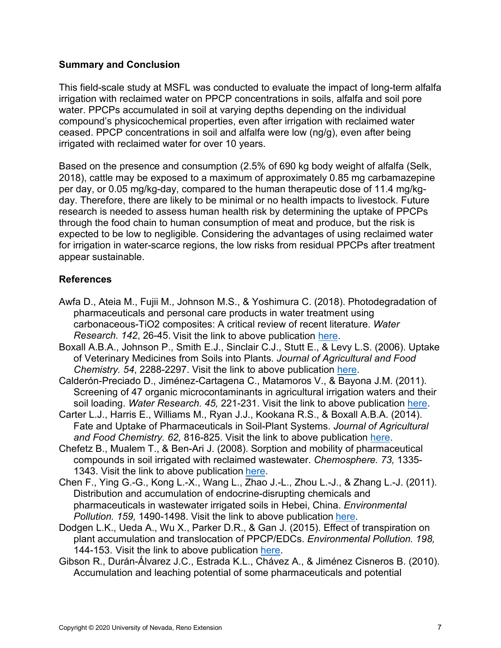## **Summary and Conclusion**

This field-scale study at MSFL was conducted to evaluate the impact of long-term alfalfa irrigation with reclaimed water on PPCP concentrations in soils, alfalfa and soil pore water. PPCPs accumulated in soil at varying depths depending on the individual compound's physicochemical properties, even after irrigation with reclaimed water ceased. PPCP concentrations in soil and alfalfa were low (ng/g), even after being irrigated with reclaimed water for over 10 years.

Based on the presence and consumption (2.5% of 690 kg body weight of alfalfa (Selk, 2018), cattle may be exposed to a maximum of approximately 0.85 mg carbamazepine per day, or 0.05 mg/kg-day, compared to the human therapeutic dose of 11.4 mg/kgday. Therefore, there are likely to be minimal or no health impacts to livestock. Future research is needed to assess human health risk by determining the uptake of PPCPs through the food chain to human consumption of meat and produce, but the risk is expected to be low to negligible. Considering the advantages of using reclaimed water for irrigation in water-scarce regions, the low risks from residual PPCPs after treatment appear sustainable.

## **References**

- Awfa D., Ateia M., Fujii M., Johnson M.S., & Yoshimura C. (2018). Photodegradation of pharmaceuticals and personal care products in water treatment using carbonaceous-TiO2 composites: A critical review of recent literature. *Water Research. 142*, 26-45. Visit the link to above publication [here.](https://doi.org/10.1016/j.watres.2018.05.036)
- Boxall A.B.A., Johnson P., Smith E.J., Sinclair C.J., Stutt E., & Levy L.S. (2006). Uptake of Veterinary Medicines from Soils into Plants. *Journal of Agricultural and Food Chemistry. 54*, 2288-2297. Visit the link to above publication [here.](https://pubs.acs.org/doi/10.1021/jf053041t)
- Calderón-Preciado D., Jiménez-Cartagena C., Matamoros V., & Bayona J.M. (2011). Screening of 47 organic microcontaminants in agricultural irrigation waters and their soil loading. *Water Research. 45,* 221-231. Visit the link to above publication [here.](https://doi.org/10.1016/j.watres.2010.07.050)
- Carter L.J., Harris E., Williams M., Ryan J.J., Kookana R.S., & Boxall A.B.A. (2014). Fate and Uptake of Pharmaceuticals in Soil-Plant Systems. *Journal of Agricultural and Food Chemistry. 62,* 816-825. Visit the link to above publication [here.](https://pubs.acs.org/doi/10.1021/jf404282y)
- Chefetz B., Mualem T., & Ben-Ari J. (2008). Sorption and mobility of pharmaceutical compounds in soil irrigated with reclaimed wastewater. *Chemosphere. 73,* 1335- 1343. Visit the link to above publication [here.](https://doi.org/10.1016/j.chemosphere.2008.06.070)
- Chen F., Ying G.-G., Kong L.-X., Wang L., Zhao J.-L., Zhou L.-J., & Zhang L.-J. (2011). Distribution and accumulation of endocrine-disrupting chemicals and pharmaceuticals in wastewater irrigated soils in Hebei, China. *Environmental Pollution. 159,* 1490-1498. Visit the link to above publication [here.](https://pubmed.ncbi.nlm.nih.gov/21477905/)
- Dodgen L.K., Ueda A., Wu X., Parker D.R., & Gan J. (2015). Effect of transpiration on plant accumulation and translocation of PPCP/EDCs. *Environmental Pollution. 198,* 144-153. Visit the link to above publication [here.](https://doi.org/10.1016/j.envpol.2015.01.002)
- Gibson R., Durán-Álvarez J.C., Estrada K.L., Chávez A., & Jiménez Cisneros B. (2010). Accumulation and leaching potential of some pharmaceuticals and potential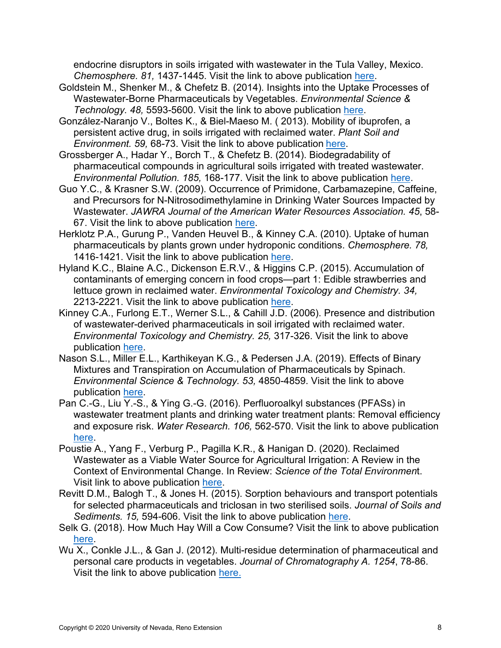endocrine disruptors in soils irrigated with wastewater in the Tula Valley, Mexico. *Chemosphere. 81,* 1437-1445. Visit the link to above publication [here.](https://doi.org/10.1016/j.chemosphere.2010.09.006)

- Goldstein M., Shenker M., & Chefetz B. (2014). Insights into the Uptake Processes of Wastewater-Borne Pharmaceuticals by Vegetables. *Environmental Science & Technology. 48,* 5593-5600. Visit the link to above publication [here.](https://pubs.acs.org/doi/10.1021/es5008615)
- González-Naranjo V., Boltes K., & Biel-Maeso M. ( 2013). Mobility of ibuprofen, a persistent active drug, in soils irrigated with reclaimed water. *Plant Soil and Environment. 59,* 68-73. Visit the link to above publication [here.](https://www.agriculturejournals.cz/web/pse/?s=10.17221%2F590%2F2012-PSE&x=0&y=0)
- Grossberger A., Hadar Y., Borch T., & Chefetz B. (2014). Biodegradability of pharmaceutical compounds in agricultural soils irrigated with treated wastewater. *Environmental Pollution. 185,* 168-177. Visit the link to above publication [here.](https://doi.org/10.1016/j.envpol.2013.10.038)
- Guo Y.C., & Krasner S.W. (2009). Occurrence of Primidone, Carbamazepine, Caffeine, and Precursors for N-Nitrosodimethylamine in Drinking Water Sources Impacted by Wastewater. *JAWRA Journal of the American Water Resources Association. 45*, 58- 67. Visit the link to above publication [here.](https://onlinelibrary.wiley.com/doi/full/10.1111/j.1752-1688.2008.00289.x)
- Herklotz P.A., Gurung P., Vanden Heuvel B., & Kinney C.A. (2010). Uptake of human pharmaceuticals by plants grown under hydroponic conditions. *Chemosphere. 78,* 1416-1421. Visit the link to above publication [here.](https://doi.org/10.1016/j.chemosphere.2009.12.048)
- Hyland K.C., Blaine A.C., Dickenson E.R.V., & Higgins C.P. (2015). Accumulation of contaminants of emerging concern in food crops—part 1: Edible strawberries and lettuce grown in reclaimed water. *Environmental Toxicology and Chemistry. 34,* 2213-2221. Visit the link to above publication [here.](https://setac.onlinelibrary.wiley.com/doi/abs/10.1002/etc.3066)
- Kinney C.A., Furlong E.T., Werner S.L., & Cahill J.D. (2006). Presence and distribution of wastewater-derived pharmaceuticals in soil irrigated with reclaimed water. *Environmental Toxicology and Chemistry. 25,* 317-326. Visit the link to above publication [here.](https://setac.onlinelibrary.wiley.com/doi/abs/10.1897/05-187R.1)
- Nason S.L., Miller E.L., Karthikeyan K.G., & Pedersen J.A. (2019). Effects of Binary Mixtures and Transpiration on Accumulation of Pharmaceuticals by Spinach. *Environmental Science & Technology. 53,* 4850-4859. Visit the link to above publication [here.](https://www.google.com/search?client=firefox-b-1-d&q=doi10.1021%2Facs.est.8b05515)
- Pan C.-G., Liu Y.-S., & Ying G.-G. (2016). Perfluoroalkyl substances (PFASs) in wastewater treatment plants and drinking water treatment plants: Removal efficiency and exposure risk. *Water Research. 106,* 562-570. Visit the link to above publication [here.](https://doi.org/10.1016/j.watres.2016.10.045)
- Poustie A., Yang F., Verburg P., Pagilla K.R., & Hanigan D. (2020). Reclaimed Wastewater as a Viable Water Source for Agricultural Irrigation: A Review in the Context of Environmental Change. In Review: *Science of the Total Environmen*t. Visit link to above publication [here.](https://www.sciencedirect.com/science/article/pii/S0048969720332769?dgcid=rss_sd_all)
- Revitt D.M., Balogh T., & Jones H. (2015). Sorption behaviours and transport potentials for selected pharmaceuticals and triclosan in two sterilised soils. *Journal of Soils and Sediments. 15,* 594-606. Visit the link to above publication [here.](https://link.springer.com/article/10.1007/s11368-014-1025-y)
- Selk G. (2018). How Much Hay Will a Cow Consume? Visit the link to above publication [here.](https://www.drovers.com/article/how-much-hay-will-cow-consume-0)
- Wu X., Conkle J.L., & Gan J. (2012). Multi-residue determination of pharmaceutical and personal care products in vegetables. *Journal of Chromatography A. 1254*, 78-86. Visit the link to above publication [here.](https://doi.org/10.1016/j.chroma.2012.07.041)